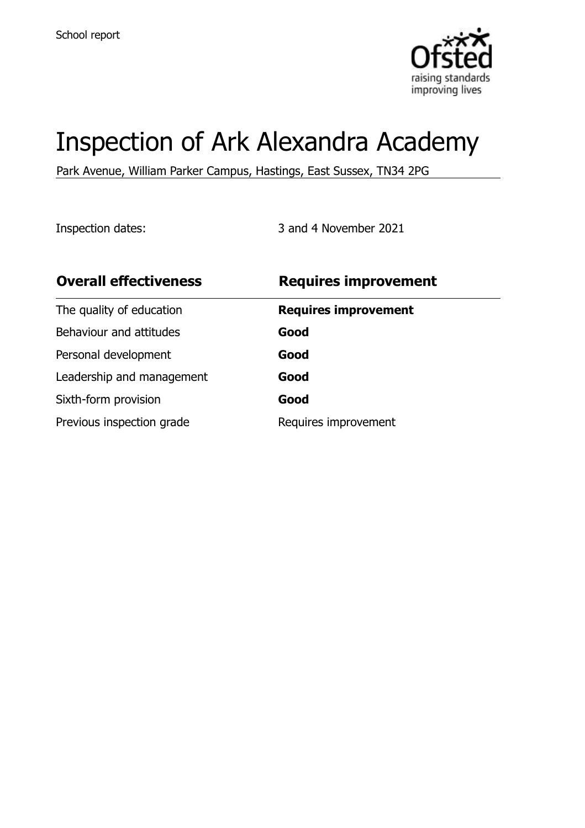

# Inspection of Ark Alexandra Academy

Park Avenue, William Parker Campus, Hastings, East Sussex, TN34 2PG

Inspection dates: 3 and 4 November 2021

| <b>Overall effectiveness</b> | <b>Requires improvement</b> |
|------------------------------|-----------------------------|
| The quality of education     | <b>Requires improvement</b> |
| Behaviour and attitudes      | Good                        |
| Personal development         | Good                        |
| Leadership and management    | Good                        |
| Sixth-form provision         | Good                        |
| Previous inspection grade    | Requires improvement        |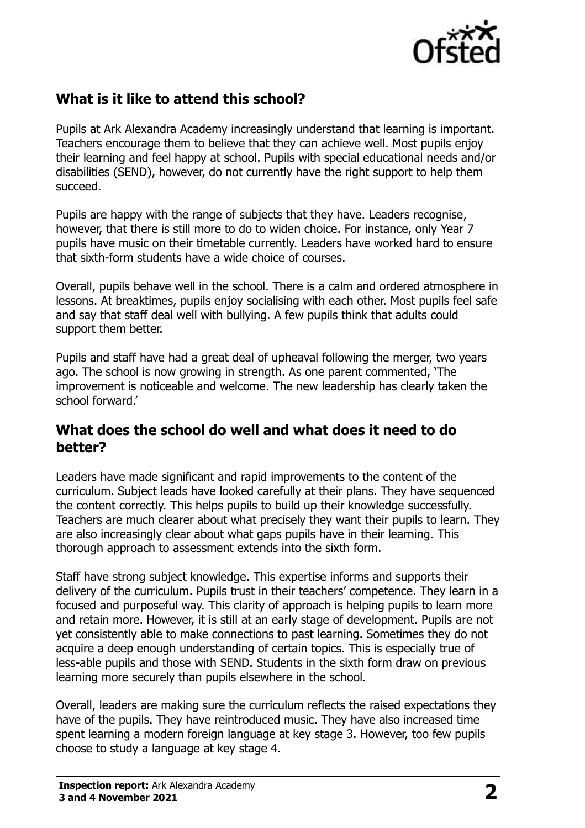

## **What is it like to attend this school?**

Pupils at Ark Alexandra Academy increasingly understand that learning is important. Teachers encourage them to believe that they can achieve well. Most pupils enjoy their learning and feel happy at school. Pupils with special educational needs and/or disabilities (SEND), however, do not currently have the right support to help them succeed.

Pupils are happy with the range of subjects that they have. Leaders recognise, however, that there is still more to do to widen choice. For instance, only Year 7 pupils have music on their timetable currently. Leaders have worked hard to ensure that sixth-form students have a wide choice of courses.

Overall, pupils behave well in the school. There is a calm and ordered atmosphere in lessons. At breaktimes, pupils enjoy socialising with each other. Most pupils feel safe and say that staff deal well with bullying. A few pupils think that adults could support them better.

Pupils and staff have had a great deal of upheaval following the merger, two years ago. The school is now growing in strength. As one parent commented, 'The improvement is noticeable and welcome. The new leadership has clearly taken the school forward.'

#### **What does the school do well and what does it need to do better?**

Leaders have made significant and rapid improvements to the content of the curriculum. Subject leads have looked carefully at their plans. They have sequenced the content correctly. This helps pupils to build up their knowledge successfully. Teachers are much clearer about what precisely they want their pupils to learn. They are also increasingly clear about what gaps pupils have in their learning. This thorough approach to assessment extends into the sixth form.

Staff have strong subject knowledge. This expertise informs and supports their delivery of the curriculum. Pupils trust in their teachers' competence. They learn in a focused and purposeful way. This clarity of approach is helping pupils to learn more and retain more. However, it is still at an early stage of development. Pupils are not yet consistently able to make connections to past learning. Sometimes they do not acquire a deep enough understanding of certain topics. This is especially true of less-able pupils and those with SEND. Students in the sixth form draw on previous learning more securely than pupils elsewhere in the school.

Overall, leaders are making sure the curriculum reflects the raised expectations they have of the pupils. They have reintroduced music. They have also increased time spent learning a modern foreign language at key stage 3. However, too few pupils choose to study a language at key stage 4.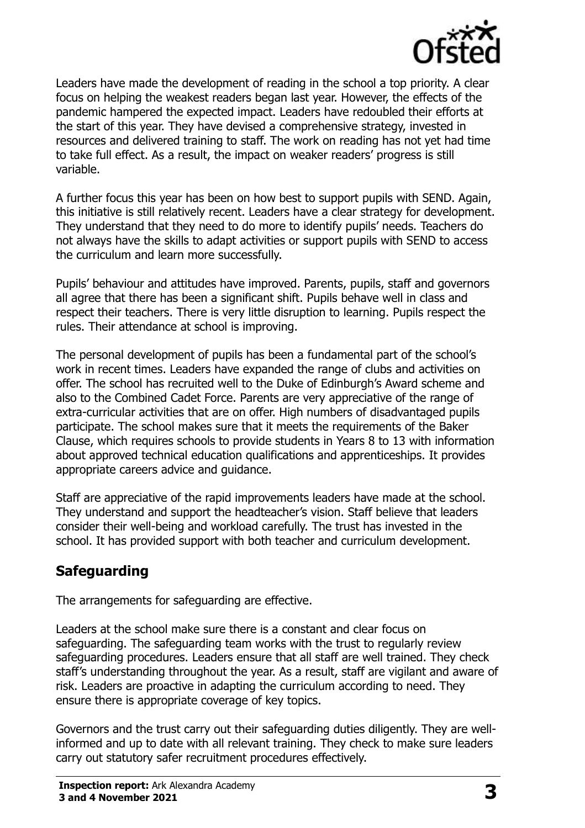

Leaders have made the development of reading in the school a top priority. A clear focus on helping the weakest readers began last year. However, the effects of the pandemic hampered the expected impact. Leaders have redoubled their efforts at the start of this year. They have devised a comprehensive strategy, invested in resources and delivered training to staff. The work on reading has not yet had time to take full effect. As a result, the impact on weaker readers' progress is still variable.

A further focus this year has been on how best to support pupils with SEND. Again, this initiative is still relatively recent. Leaders have a clear strategy for development. They understand that they need to do more to identify pupils' needs. Teachers do not always have the skills to adapt activities or support pupils with SEND to access the curriculum and learn more successfully.

Pupils' behaviour and attitudes have improved. Parents, pupils, staff and governors all agree that there has been a significant shift. Pupils behave well in class and respect their teachers. There is very little disruption to learning. Pupils respect the rules. Their attendance at school is improving.

The personal development of pupils has been a fundamental part of the school's work in recent times. Leaders have expanded the range of clubs and activities on offer. The school has recruited well to the Duke of Edinburgh's Award scheme and also to the Combined Cadet Force. Parents are very appreciative of the range of extra-curricular activities that are on offer. High numbers of disadvantaged pupils participate. The school makes sure that it meets the requirements of the Baker Clause, which requires schools to provide students in Years 8 to 13 with information about approved technical education qualifications and apprenticeships. It provides appropriate careers advice and guidance.

Staff are appreciative of the rapid improvements leaders have made at the school. They understand and support the headteacher's vision. Staff believe that leaders consider their well-being and workload carefully. The trust has invested in the school. It has provided support with both teacher and curriculum development.

# **Safeguarding**

The arrangements for safeguarding are effective.

Leaders at the school make sure there is a constant and clear focus on safeguarding. The safeguarding team works with the trust to regularly review safeguarding procedures. Leaders ensure that all staff are well trained. They check staff's understanding throughout the year. As a result, staff are vigilant and aware of risk. Leaders are proactive in adapting the curriculum according to need. They ensure there is appropriate coverage of key topics.

Governors and the trust carry out their safeguarding duties diligently. They are wellinformed and up to date with all relevant training. They check to make sure leaders carry out statutory safer recruitment procedures effectively.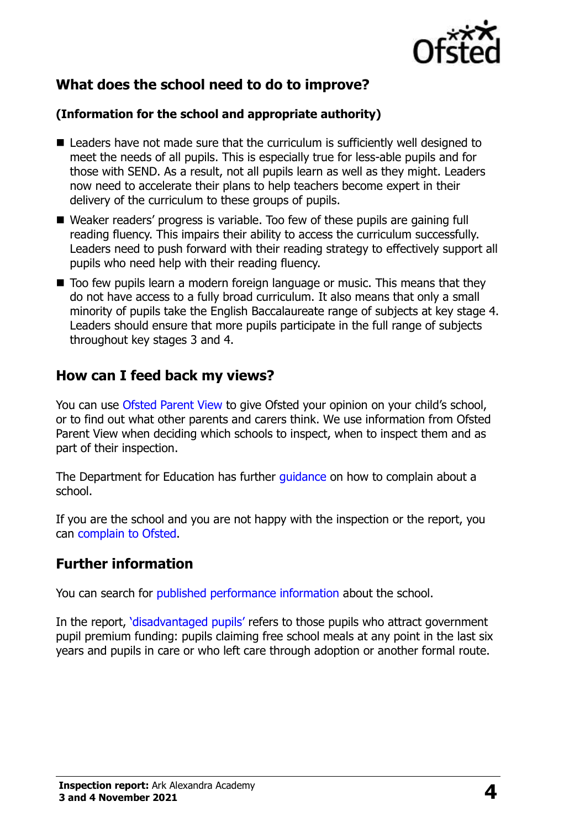

# **What does the school need to do to improve?**

#### **(Information for the school and appropriate authority)**

- $\blacksquare$  Leaders have not made sure that the curriculum is sufficiently well designed to meet the needs of all pupils. This is especially true for less-able pupils and for those with SEND. As a result, not all pupils learn as well as they might. Leaders now need to accelerate their plans to help teachers become expert in their delivery of the curriculum to these groups of pupils.
- Weaker readers' progress is variable. Too few of these pupils are gaining full reading fluency. This impairs their ability to access the curriculum successfully. Leaders need to push forward with their reading strategy to effectively support all pupils who need help with their reading fluency.
- Too few pupils learn a modern foreign language or music. This means that they do not have access to a fully broad curriculum. It also means that only a small minority of pupils take the English Baccalaureate range of subjects at key stage 4. Leaders should ensure that more pupils participate in the full range of subjects throughout key stages 3 and 4.

#### **How can I feed back my views?**

You can use [Ofsted Parent View](http://parentview.ofsted.gov.uk/) to give Ofsted your opinion on your child's school, or to find out what other parents and carers think. We use information from Ofsted Parent View when deciding which schools to inspect, when to inspect them and as part of their inspection.

The Department for Education has further quidance on how to complain about a school.

If you are the school and you are not happy with the inspection or the report, you can [complain to Ofsted.](http://www.gov.uk/complain-ofsted-report)

#### **Further information**

You can search for [published performance information](http://www.compare-school-performance.service.gov.uk/) about the school.

In the report, '[disadvantaged pupils](http://www.gov.uk/guidance/pupil-premium-information-for-schools-and-alternative-provision-settings)' refers to those pupils who attract government pupil premium funding: pupils claiming free school meals at any point in the last six years and pupils in care or who left care through adoption or another formal route.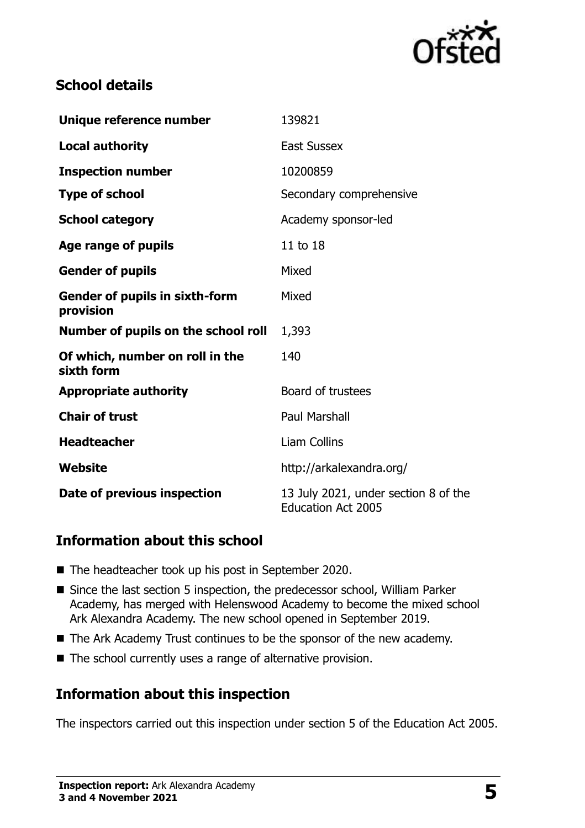

### **School details**

| Unique reference number                            | 139821                                                            |
|----------------------------------------------------|-------------------------------------------------------------------|
| <b>Local authority</b>                             | <b>East Sussex</b>                                                |
| <b>Inspection number</b>                           | 10200859                                                          |
| <b>Type of school</b>                              | Secondary comprehensive                                           |
| <b>School category</b>                             | Academy sponsor-led                                               |
| Age range of pupils                                | 11 to 18                                                          |
| <b>Gender of pupils</b>                            | Mixed                                                             |
| <b>Gender of pupils in sixth-form</b><br>provision | Mixed                                                             |
| Number of pupils on the school roll                | 1,393                                                             |
| Of which, number on roll in the<br>sixth form      | 140                                                               |
| <b>Appropriate authority</b>                       | Board of trustees                                                 |
| <b>Chair of trust</b>                              | <b>Paul Marshall</b>                                              |
| <b>Headteacher</b>                                 | <b>Liam Collins</b>                                               |
| Website                                            | http://arkalexandra.org/                                          |
| Date of previous inspection                        | 13 July 2021, under section 8 of the<br><b>Education Act 2005</b> |

#### **Information about this school**

- The headteacher took up his post in September 2020.
- Since the last section 5 inspection, the predecessor school, William Parker Academy, has merged with Helenswood Academy to become the mixed school Ark Alexandra Academy. The new school opened in September 2019.
- The Ark Academy Trust continues to be the sponsor of the new academy.
- The school currently uses a range of alternative provision.

#### **Information about this inspection**

The inspectors carried out this inspection under section 5 of the Education Act 2005.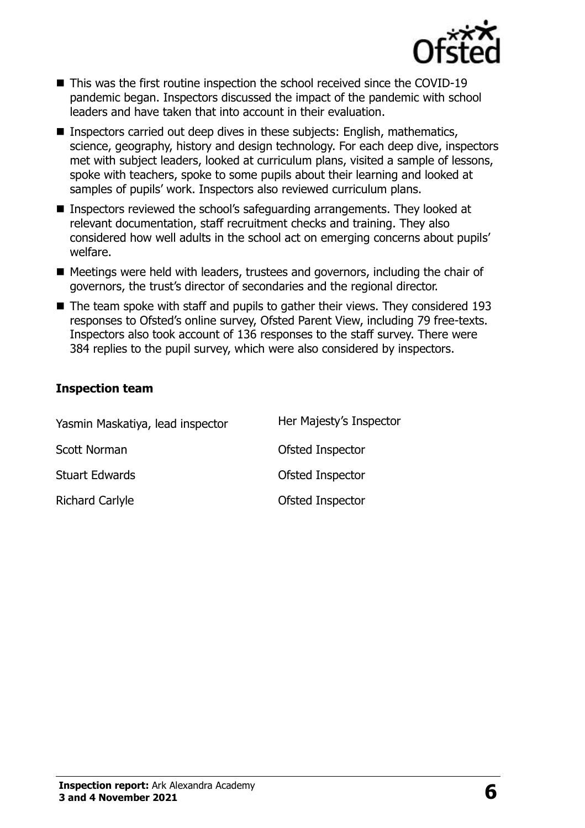

- This was the first routine inspection the school received since the COVID-19 pandemic began. Inspectors discussed the impact of the pandemic with school leaders and have taken that into account in their evaluation.
- Inspectors carried out deep dives in these subjects: English, mathematics, science, geography, history and design technology. For each deep dive, inspectors met with subject leaders, looked at curriculum plans, visited a sample of lessons, spoke with teachers, spoke to some pupils about their learning and looked at samples of pupils' work. Inspectors also reviewed curriculum plans.
- Inspectors reviewed the school's safeguarding arrangements. They looked at relevant documentation, staff recruitment checks and training. They also considered how well adults in the school act on emerging concerns about pupils' welfare.
- Meetings were held with leaders, trustees and governors, including the chair of governors, the trust's director of secondaries and the regional director.
- The team spoke with staff and pupils to gather their views. They considered 193 responses to Ofsted's online survey, Ofsted Parent View, including 79 free-texts. Inspectors also took account of 136 responses to the staff survey. There were 384 replies to the pupil survey, which were also considered by inspectors.

#### **Inspection team**

| Yasmin Maskatiya, lead inspector | Her Majesty's Inspector |
|----------------------------------|-------------------------|
| Scott Norman                     | <b>Ofsted Inspector</b> |
| <b>Stuart Edwards</b>            | <b>Ofsted Inspector</b> |
| <b>Richard Carlyle</b>           | Ofsted Inspector        |